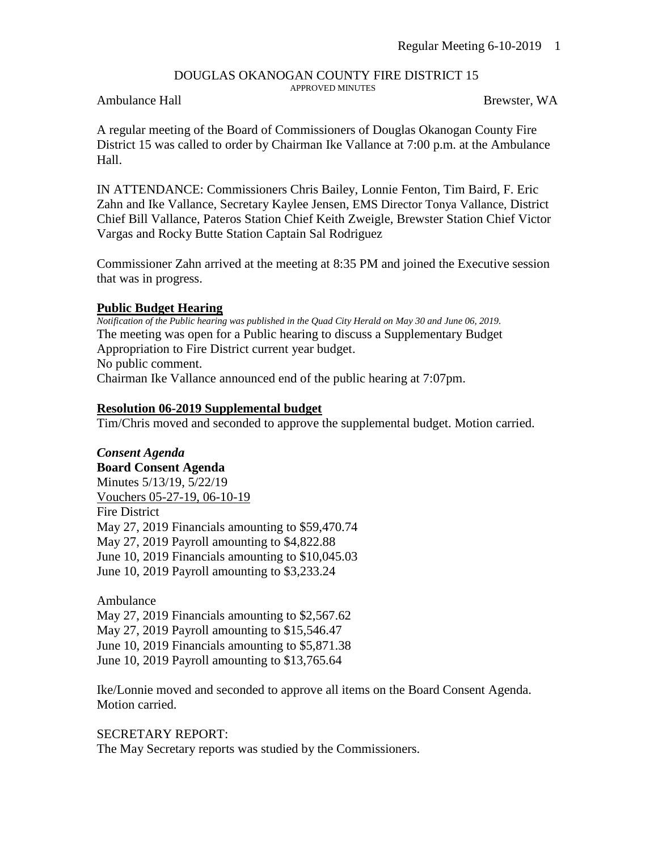## DOUGLAS OKANOGAN COUNTY FIRE DISTRICT 15 APPROVED MINUTES

## Ambulance Hall Brewster, WA

A regular meeting of the Board of Commissioners of Douglas Okanogan County Fire District 15 was called to order by Chairman Ike Vallance at 7:00 p.m. at the Ambulance Hall.

IN ATTENDANCE: Commissioners Chris Bailey, Lonnie Fenton, Tim Baird, F. Eric Zahn and Ike Vallance, Secretary Kaylee Jensen, EMS Director Tonya Vallance, District Chief Bill Vallance, Pateros Station Chief Keith Zweigle, Brewster Station Chief Victor Vargas and Rocky Butte Station Captain Sal Rodriguez

Commissioner Zahn arrived at the meeting at 8:35 PM and joined the Executive session that was in progress.

## **Public Budget Hearing**

*Notification of the Public hearing was published in the Quad City Herald on May 30 and June 06, 2019.* The meeting was open for a Public hearing to discuss a Supplementary Budget Appropriation to Fire District current year budget. No public comment. Chairman Ike Vallance announced end of the public hearing at 7:07pm.

## **Resolution 06-2019 Supplemental budget**

Tim/Chris moved and seconded to approve the supplemental budget. Motion carried.

*Consent Agenda* **Board Consent Agenda** Minutes 5/13/19, 5/22/19 Vouchers 05-27-19, 06-10-19 Fire District May 27, 2019 Financials amounting to \$59,470.74 May 27, 2019 Payroll amounting to \$4,822.88 June 10, 2019 Financials amounting to \$10,045.03 June 10, 2019 Payroll amounting to \$3,233.24

Ambulance

May 27, 2019 Financials amounting to \$2,567.62

May 27, 2019 Payroll amounting to \$15,546.47

June 10, 2019 Financials amounting to \$5,871.38

June 10, 2019 Payroll amounting to \$13,765.64

Ike/Lonnie moved and seconded to approve all items on the Board Consent Agenda. Motion carried.

SECRETARY REPORT:

The May Secretary reports was studied by the Commissioners.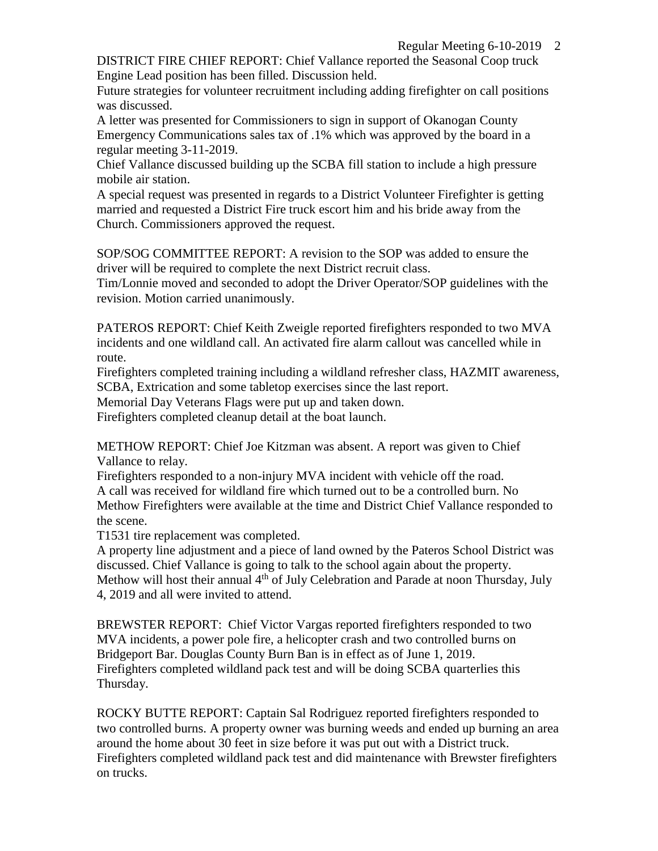DISTRICT FIRE CHIEF REPORT: Chief Vallance reported the Seasonal Coop truck Engine Lead position has been filled. Discussion held.

Future strategies for volunteer recruitment including adding firefighter on call positions was discussed.

A letter was presented for Commissioners to sign in support of Okanogan County Emergency Communications sales tax of .1% which was approved by the board in a regular meeting 3-11-2019.

Chief Vallance discussed building up the SCBA fill station to include a high pressure mobile air station.

A special request was presented in regards to a District Volunteer Firefighter is getting married and requested a District Fire truck escort him and his bride away from the Church. Commissioners approved the request.

SOP/SOG COMMITTEE REPORT: A revision to the SOP was added to ensure the driver will be required to complete the next District recruit class.

Tim/Lonnie moved and seconded to adopt the Driver Operator/SOP guidelines with the revision. Motion carried unanimously.

PATEROS REPORT: Chief Keith Zweigle reported firefighters responded to two MVA incidents and one wildland call. An activated fire alarm callout was cancelled while in route.

Firefighters completed training including a wildland refresher class, HAZMIT awareness, SCBA, Extrication and some tabletop exercises since the last report.

Memorial Day Veterans Flags were put up and taken down.

Firefighters completed cleanup detail at the boat launch.

METHOW REPORT: Chief Joe Kitzman was absent. A report was given to Chief Vallance to relay.

Firefighters responded to a non-injury MVA incident with vehicle off the road. A call was received for wildland fire which turned out to be a controlled burn. No Methow Firefighters were available at the time and District Chief Vallance responded to the scene.

T1531 tire replacement was completed.

A property line adjustment and a piece of land owned by the Pateros School District was discussed. Chief Vallance is going to talk to the school again about the property. Methow will host their annual 4<sup>th</sup> of July Celebration and Parade at noon Thursday, July 4, 2019 and all were invited to attend.

BREWSTER REPORT: Chief Victor Vargas reported firefighters responded to two MVA incidents, a power pole fire, a helicopter crash and two controlled burns on Bridgeport Bar. Douglas County Burn Ban is in effect as of June 1, 2019. Firefighters completed wildland pack test and will be doing SCBA quarterlies this Thursday.

ROCKY BUTTE REPORT: Captain Sal Rodriguez reported firefighters responded to two controlled burns. A property owner was burning weeds and ended up burning an area around the home about 30 feet in size before it was put out with a District truck. Firefighters completed wildland pack test and did maintenance with Brewster firefighters on trucks.